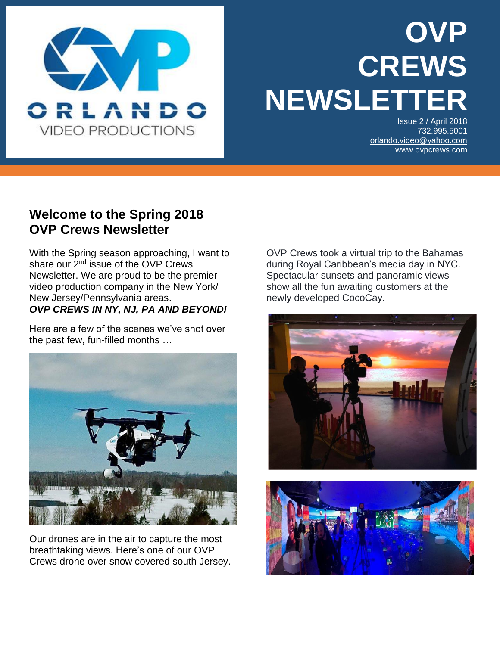

# **OVP CREWS NEWSLETT**

Issue 2 / April 2018 732.995.5001 [orlando.video@yahoo.com](mailto:orlando.video@yahoo.com) www.ovpcrews.com

#### **Welcome to the Spring 2018 OVP Crews Newsletter**

i<br>I

With the Spring season approaching, I want to share our 2<sup>nd</sup> issue of the OVP Crews Newsletter. We are proud to be the premier video production company in the New York/ New Jersey/Pennsylvania areas. *OVP CREWS IN NY, NJ, PA AND BEYOND!*

Here are a few of the scenes we've shot over the past few, fun-filled months …



Our drones are in the air to capture the most breathtaking views. Here's one of our OVP Crews drone over snow covered south Jersey. OVP Crews took a virtual trip to the Bahamas during Royal Caribbean's media day in NYC. Spectacular sunsets and panoramic views show all the fun awaiting customers at the newly developed CocoCay.



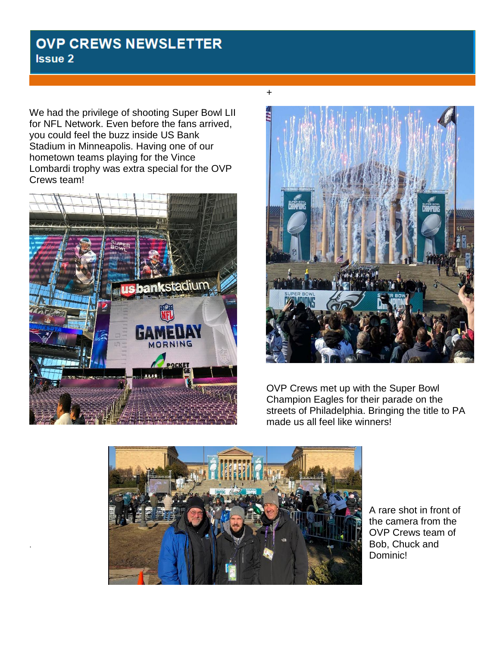#### **OVP CREWS NEWSLETTER Issue 2**

We had the privilege of shooting Super Bowl LII for NFL Network. Even before the fans arrived, you could feel the buzz inside US Bank Stadium in Minneapolis. Having one of our hometown teams playing for the Vince Lombardi trophy was extra special for the OVP Crews team!



.



OVP Crews met up with the Super Bowl Champion Eagles for their parade on the streets of Philadelphia. Bringing the title to PA made us all feel like winners!



A rare shot in front of the camera from the OVP Crews team of Bob, Chuck and Dominic!